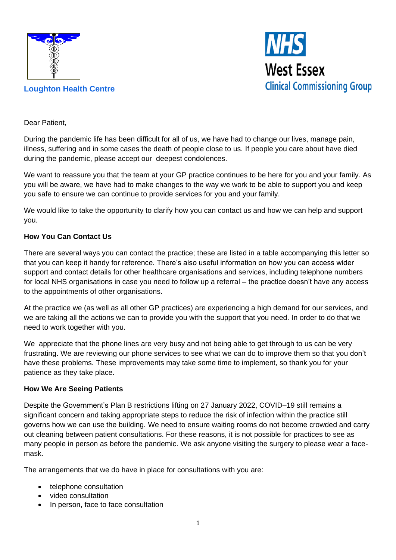

## **Loughton Health Centre**



Dear Patient,

During the pandemic life has been difficult for all of us, we have had to change our lives, manage pain, illness, suffering and in some cases the death of people close to us. If people you care about have died during the pandemic, please accept our deepest condolences.

We want to reassure you that the team at your GP practice continues to be here for you and your family. As you will be aware, we have had to make changes to the way we work to be able to support you and keep you safe to ensure we can continue to provide services for you and your family.

We would like to take the opportunity to clarify how you can contact us and how we can help and support you.

#### **How You Can Contact Us**

There are several ways you can contact the practice; these are listed in a table accompanying this letter so that you can keep it handy for reference. There's also useful information on how you can access wider support and contact details for other healthcare organisations and services, including telephone numbers for local NHS organisations in case you need to follow up a referral – the practice doesn't have any access to the appointments of other organisations.

At the practice we (as well as all other GP practices) are experiencing a high demand for our services, and we are taking all the actions we can to provide you with the support that you need. In order to do that we need to work together with you.

We appreciate that the phone lines are very busy and not being able to get through to us can be very frustrating. We are reviewing our phone services to see what we can do to improve them so that you don't have these problems. These improvements may take some time to implement, so thank you for your patience as they take place.

#### **How We Are Seeing Patients**

Despite the Government's Plan B restrictions lifting on 27 January 2022, COVID–19 still remains a significant concern and taking appropriate steps to reduce the risk of infection within the practice still governs how we can use the building. We need to ensure waiting rooms do not become crowded and carry out cleaning between patient consultations. For these reasons, it is not possible for practices to see as many people in person as before the pandemic. We ask anyone visiting the surgery to please wear a facemask.

The arrangements that we do have in place for consultations with you are:

- telephone consultation
- video consultation
- In person, face to face consultation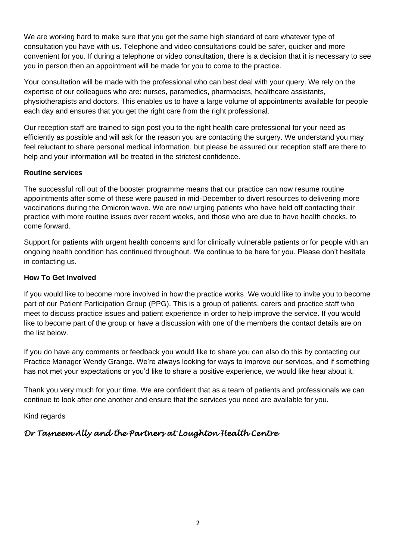We are working hard to make sure that you get the same high standard of care whatever type of consultation you have with us. Telephone and video consultations could be safer, quicker and more convenient for you. If during a telephone or video consultation, there is a decision that it is necessary to see you in person then an appointment will be made for you to come to the practice.

Your consultation will be made with the professional who can best deal with your query. We rely on the expertise of our colleagues who are: nurses, paramedics, pharmacists, healthcare assistants, physiotherapists and doctors. This enables us to have a large volume of appointments available for people each day and ensures that you get the right care from the right professional.

Our reception staff are trained to sign post you to the right health care professional for your need as efficiently as possible and will ask for the reason you are contacting the surgery. We understand you may feel reluctant to share personal medical information, but please be assured our reception staff are there to help and your information will be treated in the strictest confidence.

#### **Routine services**

The successful roll out of the booster programme means that our practice can now resume routine appointments after some of these were paused in mid-December to divert resources to delivering more vaccinations during the Omicron wave. We are now urging patients who have held off contacting their practice with more routine issues over recent weeks, and those who are due to have health checks, to come forward.

Support for patients with urgent health concerns and for clinically vulnerable patients or for people with an ongoing health condition has continued throughout. We continue to be here for you. Please don't hesitate in contacting us.

#### **How To Get Involved**

If you would like to become more involved in how the practice works, We would like to invite you to become part of our Patient Participation Group (PPG). This is a group of patients, carers and practice staff who meet to discuss practice issues and patient experience in order to help improve the service. If you would like to become part of the group or have a discussion with one of the members the contact details are on the list below.

If you do have any comments or feedback you would like to share you can also do this by contacting our Practice Manager Wendy Grange. We're always looking for ways to improve our services, and if something has not met your expectations or you'd like to share a positive experience, we would like hear about it.

Thank you very much for your time. We are confident that as a team of patients and professionals we can continue to look after one another and ensure that the services you need are available for you.

#### Kind regards

## *Dr Tasneem Ally and the Partners at Loughton Health Centre*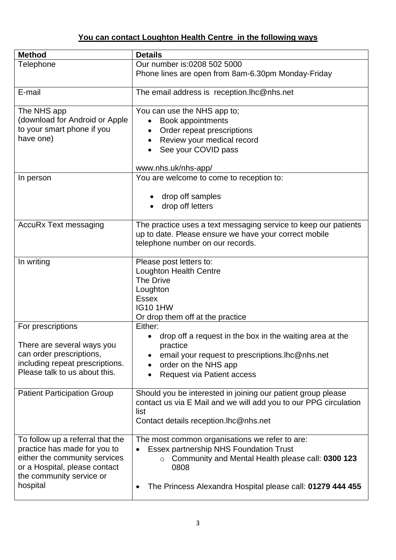# **You can contact Loughton Health Centre in the following ways**

| <b>Method</b>                                                                                                                                                              | <b>Details</b>                                                                                                                                                                                                        |
|----------------------------------------------------------------------------------------------------------------------------------------------------------------------------|-----------------------------------------------------------------------------------------------------------------------------------------------------------------------------------------------------------------------|
| Telephone                                                                                                                                                                  | Our number is:0208 502 5000                                                                                                                                                                                           |
|                                                                                                                                                                            | Phone lines are open from 8am-6.30pm Monday-Friday                                                                                                                                                                    |
| E-mail                                                                                                                                                                     | The email address is reception. Ihc@nhs.net                                                                                                                                                                           |
| The NHS app<br>(download for Android or Apple<br>to your smart phone if you<br>have one)                                                                                   | You can use the NHS app to;<br>Book appointments<br>Order repeat prescriptions<br>Review your medical record<br>See your COVID pass<br>www.nhs.uk/nhs-app/                                                            |
| In person                                                                                                                                                                  | You are welcome to come to reception to:                                                                                                                                                                              |
|                                                                                                                                                                            | drop off samples<br>drop off letters                                                                                                                                                                                  |
| <b>AccuRx Text messaging</b>                                                                                                                                               | The practice uses a text messaging service to keep our patients<br>up to date. Please ensure we have your correct mobile<br>telephone number on our records.                                                          |
| In writing                                                                                                                                                                 | Please post letters to:<br><b>Loughton Health Centre</b><br><b>The Drive</b><br>Loughton<br><b>Essex</b><br><b>IG10 1HW</b><br>Or drop them off at the practice                                                       |
| For prescriptions<br>There are several ways you<br>can order prescriptions,<br>including repeat prescriptions.<br>Please talk to us about this.                            | Either:<br>drop off a request in the box in the waiting area at the<br>practice<br>email your request to prescriptions. Ihc@nhs.net<br>order on the NHS app<br><b>Request via Patient access</b>                      |
| <b>Patient Participation Group</b>                                                                                                                                         | Should you be interested in joining our patient group please<br>contact us via E Mail and we will add you to our PPG circulation<br>list<br>Contact details reception. Ihc@nhs.net                                    |
| To follow up a referral that the<br>practice has made for you to<br>either the community services<br>or a Hospital, please contact<br>the community service or<br>hospital | The most common organisations we refer to are:<br>Essex partnership NHS Foundation Trust<br>o Community and Mental Health please call: 0300 123<br>0808<br>The Princess Alexandra Hospital please call: 01279 444 455 |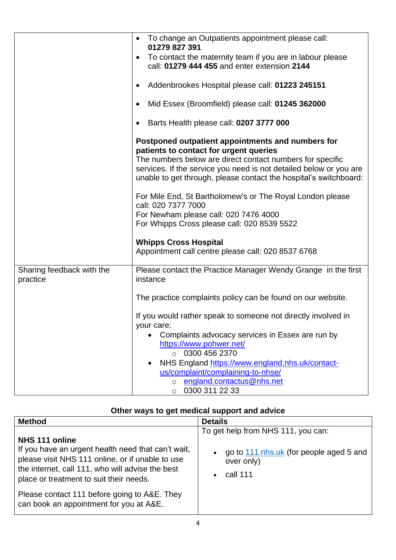|                                       | To change an Outpatients appointment please call:<br>01279 827 391                                                                                                                                                                                                                                  |
|---------------------------------------|-----------------------------------------------------------------------------------------------------------------------------------------------------------------------------------------------------------------------------------------------------------------------------------------------------|
|                                       | To contact the maternity team if you are in labour please<br>$\bullet$<br>call: 01279 444 455 and enter extension 2144                                                                                                                                                                              |
|                                       | Addenbrookes Hospital please call: 01223 245151                                                                                                                                                                                                                                                     |
|                                       | Mid Essex (Broomfield) please call: 01245 362000                                                                                                                                                                                                                                                    |
|                                       | Barts Health please call: 0207 3777 000                                                                                                                                                                                                                                                             |
|                                       | Postponed outpatient appointments and numbers for<br>patients to contact for urgent queries<br>The numbers below are direct contact numbers for specific<br>services. If the service you need is not detailed below or you are<br>unable to get through, please contact the hospital's switchboard: |
|                                       | For Mile End, St Bartholomew's or The Royal London please<br>call: 020 7377 7000<br>For Newham please call: 020 7476 4000<br>For Whipps Cross please call: 020 8539 5522                                                                                                                            |
|                                       |                                                                                                                                                                                                                                                                                                     |
|                                       | <b>Whipps Cross Hospital</b><br>Appointment call centre please call: 020 8537 6768                                                                                                                                                                                                                  |
| Sharing feedback with the<br>practice | Please contact the Practice Manager Wendy Grange in the first<br>instance                                                                                                                                                                                                                           |
|                                       | The practice complaints policy can be found on our website.                                                                                                                                                                                                                                         |
|                                       | If you would rather speak to someone not directly involved in<br>your care:                                                                                                                                                                                                                         |
|                                       | Complaints advocacy services in Essex are run by<br>https://www.pohwer.net/<br>$\circ$ 0300 456 2370<br>NHS England https://www.england.nhs.uk/contact-<br>$\bullet$<br>us/complaint/complaining-to-nhse/<br>o england.contactus@nhs.net                                                            |
|                                       | 0300 311 22 33<br>$\circ$                                                                                                                                                                                                                                                                           |

## **Other ways to get medical support and advice**

| <b>Method</b>                                                                                                                                                                                                           | <b>Details</b>                                                                                                       |
|-------------------------------------------------------------------------------------------------------------------------------------------------------------------------------------------------------------------------|----------------------------------------------------------------------------------------------------------------------|
| NHS 111 online<br>If you have an urgent health need that can't wait,<br>please visit NHS 111 online, or if unable to use<br>the internet, call 111, who will advise the best<br>place or treatment to suit their needs. | To get help from NHS 111, you can:<br>go to 111 nhs uk (for people aged 5 and<br>$\bullet$<br>over only)<br>call 111 |
| Please contact 111 before going to A&E. They<br>can book an appointment for you at A&E.                                                                                                                                 |                                                                                                                      |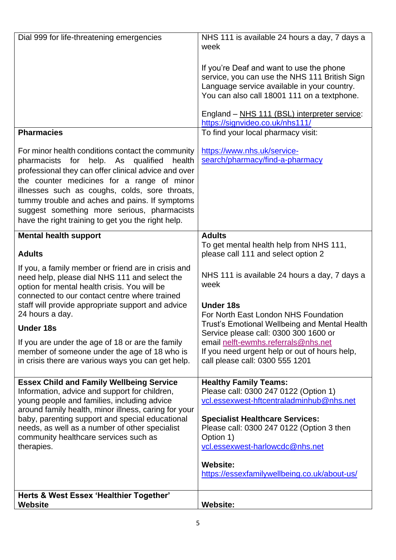| Dial 999 for life-threatening emergencies                                                                                                                                                                                                                                                                                                                                                                        | NHS 111 is available 24 hours a day, 7 days a<br>week                                                                                                                                                                                                                                                                       |
|------------------------------------------------------------------------------------------------------------------------------------------------------------------------------------------------------------------------------------------------------------------------------------------------------------------------------------------------------------------------------------------------------------------|-----------------------------------------------------------------------------------------------------------------------------------------------------------------------------------------------------------------------------------------------------------------------------------------------------------------------------|
|                                                                                                                                                                                                                                                                                                                                                                                                                  | If you're Deaf and want to use the phone<br>service, you can use the NHS 111 British Sign<br>Language service available in your country.<br>You can also call 18001 111 on a textphone.<br>England - NHS 111 (BSL) interpreter service:                                                                                     |
|                                                                                                                                                                                                                                                                                                                                                                                                                  | https://signvideo.co.uk/nhs111/                                                                                                                                                                                                                                                                                             |
| <b>Pharmacies</b>                                                                                                                                                                                                                                                                                                                                                                                                | To find your local pharmacy visit:                                                                                                                                                                                                                                                                                          |
| For minor health conditions contact the community<br>pharmacists for help. As qualified<br>health<br>professional they can offer clinical advice and over<br>the counter medicines for a range of minor<br>illnesses such as coughs, colds, sore throats,<br>tummy trouble and aches and pains. If symptoms<br>suggest something more serious, pharmacists<br>have the right training to get you the right help. | https://www.nhs.uk/service-<br>search/pharmacy/find-a-pharmacy                                                                                                                                                                                                                                                              |
| <b>Mental health support</b>                                                                                                                                                                                                                                                                                                                                                                                     | <b>Adults</b>                                                                                                                                                                                                                                                                                                               |
| <b>Adults</b>                                                                                                                                                                                                                                                                                                                                                                                                    | To get mental health help from NHS 111,<br>please call 111 and select option 2                                                                                                                                                                                                                                              |
| If you, a family member or friend are in crisis and<br>need help, please dial NHS 111 and select the<br>option for mental health crisis. You will be<br>connected to our contact centre where trained<br>staff will provide appropriate support and advice<br>24 hours a day.                                                                                                                                    | NHS 111 is available 24 hours a day, 7 days a<br>week<br><b>Under 18s</b><br>For North East London NHS Foundation                                                                                                                                                                                                           |
| <b>Under 18s</b>                                                                                                                                                                                                                                                                                                                                                                                                 | Trust's Emotional Wellbeing and Mental Health                                                                                                                                                                                                                                                                               |
| If you are under the age of 18 or are the family<br>member of someone under the age of 18 who is<br>in crisis there are various ways you can get help.                                                                                                                                                                                                                                                           | Service please call: 0300 300 1600 or<br>email nelft-ewmhs.referrals@nhs.net<br>If you need urgent help or out of hours help,<br>call please call: 0300 555 1201                                                                                                                                                            |
| <b>Essex Child and Family Wellbeing Service</b><br>Information, advice and support for children,<br>young people and families, including advice<br>around family health, minor illness, caring for your<br>baby, parenting support and special educational<br>needs, as well as a number of other specialist<br>community healthcare services such as<br>therapies.                                              | <b>Healthy Family Teams:</b><br>Please call: 0300 247 0122 (Option 1)<br>vcl.essexwest-hftcentraladminhub@nhs.net<br><b>Specialist Healthcare Services:</b><br>Please call: 0300 247 0122 (Option 3 then<br>Option 1)<br>vcl.essexwest-harlowcdc@nhs.net<br><b>Website:</b><br>https://essexfamilywellbeing.co.uk/about-us/ |
| Herts & West Essex 'Healthier Together'<br><b>Website</b>                                                                                                                                                                                                                                                                                                                                                        | <b>Website:</b>                                                                                                                                                                                                                                                                                                             |
|                                                                                                                                                                                                                                                                                                                                                                                                                  |                                                                                                                                                                                                                                                                                                                             |